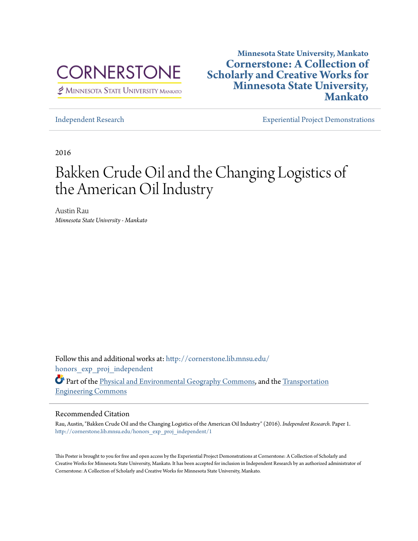

 $\not\cong$  MINNESOTA STATE UNIVERSITY MANKATO

### **Minnesota State University, Mankato [Cornerstone: A Collection of](http://cornerstone.lib.mnsu.edu?utm_source=cornerstone.lib.mnsu.edu%2Fhonors_exp_proj_independent%2F1&utm_medium=PDF&utm_campaign=PDFCoverPages) [Scholarly and Creative Works for](http://cornerstone.lib.mnsu.edu?utm_source=cornerstone.lib.mnsu.edu%2Fhonors_exp_proj_independent%2F1&utm_medium=PDF&utm_campaign=PDFCoverPages) [Minnesota State University,](http://cornerstone.lib.mnsu.edu?utm_source=cornerstone.lib.mnsu.edu%2Fhonors_exp_proj_independent%2F1&utm_medium=PDF&utm_campaign=PDFCoverPages) [Mankato](http://cornerstone.lib.mnsu.edu?utm_source=cornerstone.lib.mnsu.edu%2Fhonors_exp_proj_independent%2F1&utm_medium=PDF&utm_campaign=PDFCoverPages)**

[Independent Research](http://cornerstone.lib.mnsu.edu/honors_exp_proj_independent?utm_source=cornerstone.lib.mnsu.edu%2Fhonors_exp_proj_independent%2F1&utm_medium=PDF&utm_campaign=PDFCoverPages) [Experiential Project Demonstrations](http://cornerstone.lib.mnsu.edu/honors_exp_proj?utm_source=cornerstone.lib.mnsu.edu%2Fhonors_exp_proj_independent%2F1&utm_medium=PDF&utm_campaign=PDFCoverPages)

2016

### Bakken Crude Oil and the Changing Logistics of the American Oil Industry

Austin Rau *Minnesota State University - Mankato*

Follow this and additional works at: [http://cornerstone.lib.mnsu.edu/](http://cornerstone.lib.mnsu.edu/honors_exp_proj_independent?utm_source=cornerstone.lib.mnsu.edu%2Fhonors_exp_proj_independent%2F1&utm_medium=PDF&utm_campaign=PDFCoverPages) honors exp proj independent

Part of the [Physical and Environmental Geography Commons,](http://network.bepress.com/hgg/discipline/355?utm_source=cornerstone.lib.mnsu.edu%2Fhonors_exp_proj_independent%2F1&utm_medium=PDF&utm_campaign=PDFCoverPages) and the [Transportation](http://network.bepress.com/hgg/discipline/1329?utm_source=cornerstone.lib.mnsu.edu%2Fhonors_exp_proj_independent%2F1&utm_medium=PDF&utm_campaign=PDFCoverPages) [Engineering Commons](http://network.bepress.com/hgg/discipline/1329?utm_source=cornerstone.lib.mnsu.edu%2Fhonors_exp_proj_independent%2F1&utm_medium=PDF&utm_campaign=PDFCoverPages)

### Recommended Citation

Rau, Austin, "Bakken Crude Oil and the Changing Logistics of the American Oil Industry" (2016). *Independent Research.* Paper 1. [http://cornerstone.lib.mnsu.edu/honors\\_exp\\_proj\\_independent/1](http://cornerstone.lib.mnsu.edu/honors_exp_proj_independent/1?utm_source=cornerstone.lib.mnsu.edu%2Fhonors_exp_proj_independent%2F1&utm_medium=PDF&utm_campaign=PDFCoverPages)

This Poster is brought to you for free and open access by the Experiential Project Demonstrations at Cornerstone: A Collection of Scholarly and Creative Works for Minnesota State University, Mankato. It has been accepted for inclusion in Independent Research by an authorized administrator of Cornerstone: A Collection of Scholarly and Creative Works for Minnesota State University, Mankato.